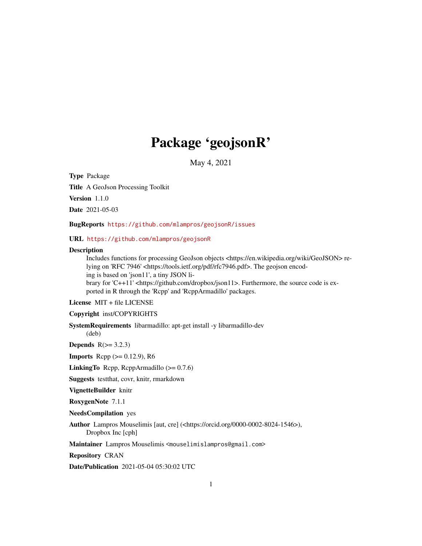# Package 'geojsonR'

May 4, 2021

Type Package

Title A GeoJson Processing Toolkit

Version 1.1.0

Date 2021-05-03

BugReports <https://github.com/mlampros/geojsonR/issues>

URL <https://github.com/mlampros/geojsonR>

# **Description**

Includes functions for processing GeoJson objects <https://en.wikipedia.org/wiki/GeoJSON> relying on 'RFC 7946' <https://tools.ietf.org/pdf/rfc7946.pdf>. The geojson encoding is based on 'json11', a tiny JSON library for 'C++11' <https://github.com/dropbox/json11>. Furthermore, the source code is exported in R through the 'Rcpp' and 'RcppArmadillo' packages.

License MIT + file LICENSE

Copyright inst/COPYRIGHTS

SystemRequirements libarmadillo: apt-get install -y libarmadillo-dev (deb)

Depends  $R(>= 3.2.3)$ 

**Imports** Rcpp  $(>= 0.12.9)$ , R6

**LinkingTo** Rcpp, RcppArmadillo  $(>= 0.7.6)$ 

Suggests testthat, covr, knitr, rmarkdown

VignetteBuilder knitr

RoxygenNote 7.1.1

NeedsCompilation yes

Author Lampros Mouselimis [aut, cre] (<https://orcid.org/0000-0002-8024-1546>), Dropbox Inc [cph]

Maintainer Lampros Mouselimis <mouselimislampros@gmail.com>

Repository CRAN

Date/Publication 2021-05-04 05:30:02 UTC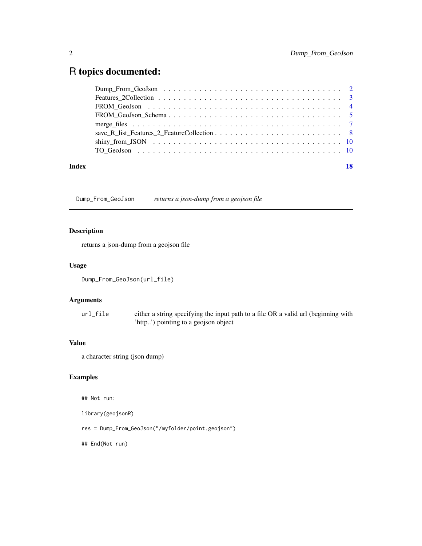# <span id="page-1-0"></span>R topics documented:

| Index | 18 |
|-------|----|
|       |    |
|       |    |
|       |    |
|       |    |
|       |    |
|       |    |
|       |    |
|       |    |

Dump\_From\_GeoJson *returns a json-dump from a geojson file*

# Description

returns a json-dump from a geojson file

# Usage

Dump\_From\_GeoJson(url\_file)

# Arguments

url\_file either a string specifying the input path to a file OR a valid url (beginning with 'http..') pointing to a geojson object

# Value

a character string (json dump)

# Examples

## Not run:

library(geojsonR)

res = Dump\_From\_GeoJson("/myfolder/point.geojson")

## End(Not run)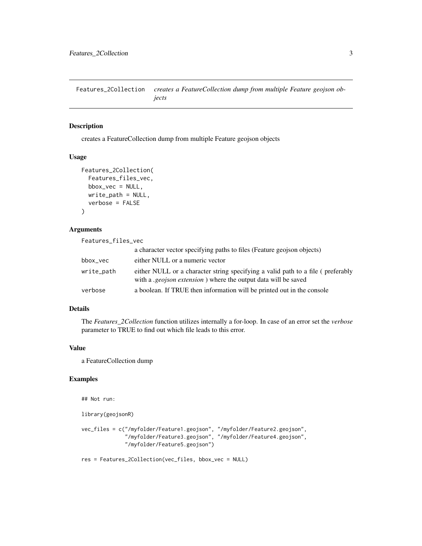<span id="page-2-0"></span>Features\_2Collection *creates a FeatureCollection dump from multiple Feature geojson objects*

# Description

creates a FeatureCollection dump from multiple Feature geojson objects

#### Usage

```
Features_2Collection(
  Features_files_vec,
 bbox\_vec = NULL,write_path = NULL,
  verbose = FALSE
)
```
# Arguments

| Features_files_vec |                                                                                                                                                          |
|--------------------|----------------------------------------------------------------------------------------------------------------------------------------------------------|
|                    | a character vector specifying paths to files (Feature geojson objects)                                                                                   |
| bbox_vec           | either NULL or a numeric vector                                                                                                                          |
| write_path         | either NULL or a character string specifying a valid path to a file (preferably<br>with a <i>geojson extension</i> ) where the output data will be saved |
| verbose            | a boolean. If TRUE then information will be printed out in the console                                                                                   |

# Details

The *Features\_2Collection* function utilizes internally a for-loop. In case of an error set the *verbose* parameter to TRUE to find out which file leads to this error.

#### Value

a FeatureCollection dump

# Examples

## Not run:

library(geojsonR)

```
vec_files = c("/myfolder/Feature1.geojson", "/myfolder/Feature2.geojson",
              "/myfolder/Feature3.geojson", "/myfolder/Feature4.geojson",
             "/myfolder/Feature5.geojson")
```
res = Features\_2Collection(vec\_files, bbox\_vec = NULL)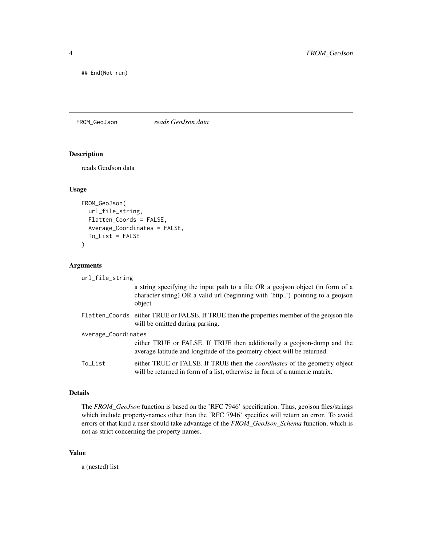<span id="page-3-0"></span>## End(Not run)

FROM\_GeoJson *reads GeoJson data*

#### Description

reads GeoJson data

### Usage

```
FROM_GeoJson(
  url_file_string,
  Flatten_Coords = FALSE,
  Average_Coordinates = FALSE,
  To_List = FALSE
)
```
#### Arguments

```
url_file_string
                  a string specifying the input path to a file OR a geojson object (in form of a
                  character string) OR a valid url (beginning with 'http..') pointing to a geojson
                  object
Flatten_Coords either TRUE or FALSE. If TRUE then the properties member of the geojson file
                  will be omitted during parsing.
Average_Coordinates
                  either TRUE or FALSE. If TRUE then additionally a geojson-dump and the
                  average latitude and longitude of the geometry object will be returned.
To_List either TRUE or FALSE. If TRUE then the coordinates of the geometry object
                  will be returned in form of a list, otherwise in form of a numeric matrix.
```
#### Details

The *FROM\_GeoJson* function is based on the 'RFC 7946' specification. Thus, geojson files/strings which include property-names other than the 'RFC 7946' specifies will return an error. To avoid errors of that kind a user should take advantage of the *FROM\_GeoJson\_Schema* function, which is not as strict concerning the property names.

#### Value

a (nested) list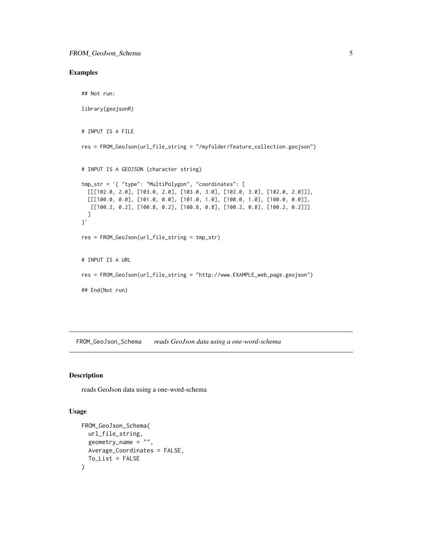# <span id="page-4-0"></span>Examples

```
## Not run:
library(geojsonR)
# INPUT IS A FILE
res = FROM_GeoJson(url_file_string = "/myfolder/feature_collection.geojson")
# INPUT IS A GEOJSON (character string)
tmp_str = '{ "type": "MultiPolygon", "coordinates": [
  [[[102.0, 2.0], [103.0, 2.0], [103.0, 3.0], [102.0, 3.0], [102.0, 2.0]]],
  [[[100.0, 0.0], [101.0, 0.0], [101.0, 1.0], [100.0, 1.0], [100.0, 0.0]],[[100.2, 0.2], [100.8, 0.2], [100.8, 0.8], [100.2, 0.8], [100.2, 0.2]]]
  ]
}'
res = FROM_GeoJson(url_file_string = tmp_str)
# INPUT IS A URL
res = FROM_GeoJson(url_file_string = "http://www.EXAMPLE_web_page.geojson")
## End(Not run)
```
FROM\_GeoJson\_Schema *reads GeoJson data using a one-word-schema*

# Description

reads GeoJson data using a one-word-schema

#### Usage

```
FROM_GeoJson_Schema(
 url_file_string,
 geometry_name = ",
 Average_Coordinates = FALSE,
 To_List = FALSE
)
```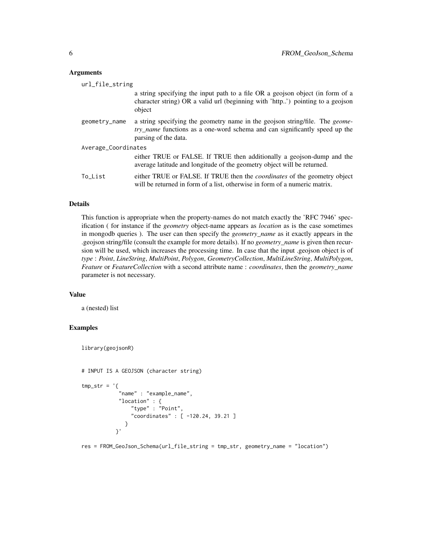#### **Arguments**

| url_file_string     |                                                                                                                                                                                                   |  |  |  |
|---------------------|---------------------------------------------------------------------------------------------------------------------------------------------------------------------------------------------------|--|--|--|
|                     | a string specifying the input path to a file OR a geojson object (in form of a<br>character string) OR a valid url (beginning with 'http') pointing to a geojson<br>object                        |  |  |  |
| geometry_name       | a string specifying the geometry name in the geojson string/file. The <i>geome</i> -<br><i>try_name</i> functions as a one-word schema and can significantly speed up the<br>parsing of the data. |  |  |  |
| Average_Coordinates |                                                                                                                                                                                                   |  |  |  |
|                     | either TRUE or FALSE. If TRUE then additionally a geojson-dump and the<br>average latitude and longitude of the geometry object will be returned.                                                 |  |  |  |
| To List             | either TRUE or FALSE. If TRUE then the <i>coordinates</i> of the geometry object<br>will be returned in form of a list, otherwise in form of a numeric matrix.                                    |  |  |  |

### Details

This function is appropriate when the property-names do not match exactly the 'RFC 7946' specification ( for instance if the *geometry* object-name appears as *location* as is the case sometimes in mongodb queries ). The user can then specify the *geometry\_name* as it exactly appears in the .geojson string/file (consult the example for more details). If no *geometry\_name* is given then recursion will be used, which increases the processing time. In case that the input .geojson object is of *type* : *Point*, *LineString*, *MultiPoint*, *Polygon*, *GeometryCollection*, *MultiLineString*, *MultiPolygon*, *Feature* or *FeatureCollection* with a second attribute name : *coordinates*, then the *geometry\_name* parameter is not necessary.

#### Value

a (nested) list

# Examples

```
library(geojsonR)
```

```
# INPUT IS A GEOJSON (character string)
```

```
tmp\_str = '{}"name" : "example_name",
            "location" : {
                "type" : "Point",
                "coordinates" : [ -120.24, 39.21 ]
              }
           }'
```
res = FROM\_GeoJson\_Schema(url\_file\_string = tmp\_str, geometry\_name = "location")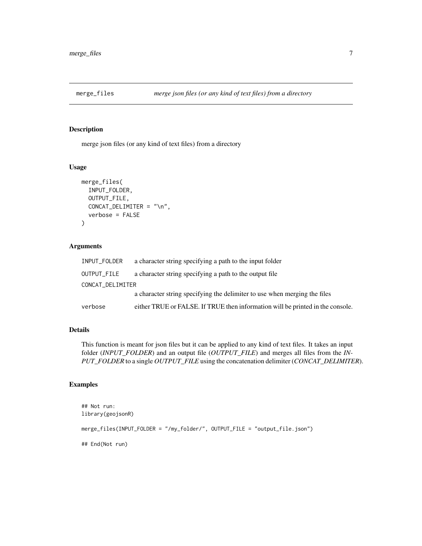<span id="page-6-0"></span>

# Description

merge json files (or any kind of text files) from a directory

# Usage

```
merge_files(
  INPUT_FOLDER,
  OUTPUT_FILE,
 CONCAT_DELIMITER = "\n",
  verbose = FALSE
)
```
# Arguments

| INPUT_FOLDER     | a character string specifying a path to the input folder                       |  |  |  |
|------------------|--------------------------------------------------------------------------------|--|--|--|
| OUTPUT_FILE      | a character string specifying a path to the output file                        |  |  |  |
| CONCAT_DELIMITER |                                                                                |  |  |  |
|                  | a character string specifying the delimiter to use when merging the files      |  |  |  |
| verbose          | either TRUE or FALSE. If TRUE then information will be printed in the console. |  |  |  |

# Details

This function is meant for json files but it can be applied to any kind of text files. It takes an input folder (*INPUT\_FOLDER*) and an output file (*OUTPUT\_FILE*) and merges all files from the *IN-PUT\_FOLDER* to a single *OUTPUT\_FILE* using the concatenation delimiter (*CONCAT\_DELIMITER*).

# Examples

```
## Not run:
library(geojsonR)
merge_files(INPUT_FOLDER = "/my_folder/", OUTPUT_FILE = "output_file.json")
## End(Not run)
```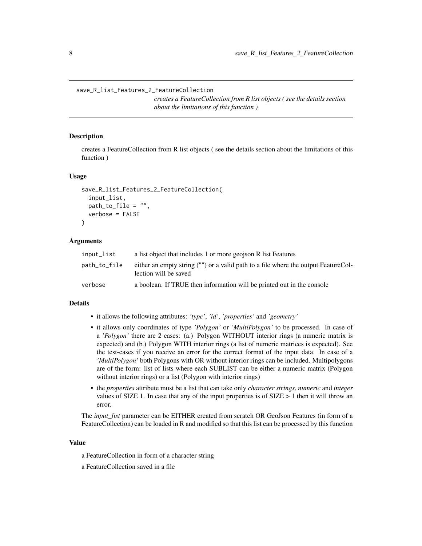<span id="page-7-0"></span>save\_R\_list\_Features\_2\_FeatureCollection

*creates a FeatureCollection from R list objects ( see the details section about the limitations of this function )*

#### Description

creates a FeatureCollection from R list objects ( see the details section about the limitations of this function )

#### Usage

```
save_R_list_Features_2_FeatureCollection(
  input_list,
 path_to_file = "",verbose = FALSE
\lambda
```
#### Arguments

| input_list   | a list object that includes 1 or more geojson R list Features                                               |
|--------------|-------------------------------------------------------------------------------------------------------------|
| path_to_file | either an empty string ("") or a valid path to a file where the output FeatureCol-<br>lection will be saved |
| verbose      | a boolean. If TRUE then information will be printed out in the console                                      |

#### Details

- it allows the following attributes: *'type'*, *'id'*, *'properties'* and *'geometry'*
- it allows only coordinates of type *'Polygon'* or *'MultiPolygon'* to be processed. In case of a *'Polygon'* there are 2 cases: (a.) Polygon WITHOUT interior rings (a numeric matrix is expected) and (b.) Polygon WITH interior rings (a list of numeric matrices is expected). See the test-cases if you receive an error for the correct format of the input data. In case of a *'MultiPolygon'* both Polygons with OR without interior rings can be included. Multipolygons are of the form: list of lists where each SUBLIST can be either a numeric matrix (Polygon without interior rings) or a list (Polygon with interior rings)
- the *properties* attribute must be a list that can take only *character strings*, *numeric* and *integer* values of SIZE 1. In case that any of the input properties is of  $SIZE > 1$  then it will throw an error.

The *input\_list* parameter can be EITHER created from scratch OR GeoJson Features (in form of a FeatureCollection) can be loaded in R and modified so that this list can be processed by this function

#### Value

- a FeatureCollection in form of a character string
- a FeatureCollection saved in a file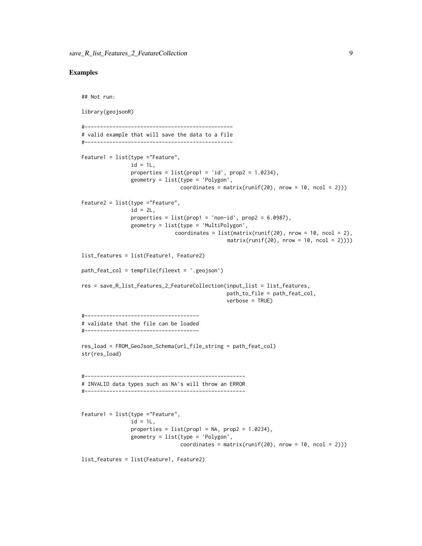#### Examples

```
## Not run:
library(geojsonR)
#------------------------------------------------
# valid example that will save the data to a file
#------------------------------------------------
Feature1 = list(type ="Feature",
                id = 1L,
                properties = list(prop1 = 'id', prop2 = 1.0234),
                geometry = list(type = 'Polygon',
                                coordinates = matrix(runif(20), nrow = 10, ncol = 2)))
Feature2 = list(type ="Feature",
                id = 2L,
                properties = list(prop1 = 'non-id', prop2 = 6.0987),
                geometry = list(type = 'MultiPolygon',
                              coordinates = list(matrix(runif(20), nrow = 10, ncol = 2),matrix(runif(20), nrow = 10, ncol = 2))))list_features = list(Feature1, Feature2)
path_feat_col = tempfile(fileext = '.geojson')
res = save_R_list_Features_2_FeatureCollection(input_list = list_features,
                                               path_to_file = path_feat_col,
                                               verbose = TRUE)
#-------------------------------------
# validate that the file can be loaded
#-------------------------------------
res_load = FROM_GeoJson_Schema(url_file_string = path_feat_col)
str(res_load)
#----------------------------------------------------
# INVALID data types such as NA's will throw an ERROR
#----------------------------------------------------
Feature1 = list(type ="Feature",
                id = 1L,
                properties = list(prop1 = NA, prop2 = 1.0234),
                geometry = list(type = 'Polygon',
                                coordinates = matrix(runif(20), nrow = 10, ncol = 2)))
list_features = list(Feature1, Feature2)
```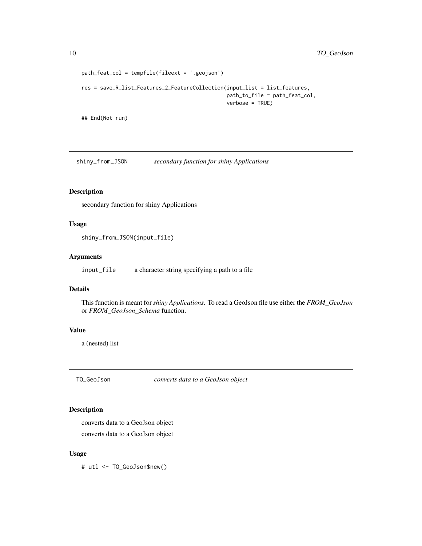```
path_feat_col = tempfile(fileext = '.geojson')
res = save_R_list_Features_2_FeatureCollection(input_list = list_features,
                                               path_to_file = path_feat_col,
                                               verbose = TRUE)
```
## End(Not run)

shiny\_from\_JSON *secondary function for shiny Applications*

# Description

secondary function for shiny Applications

# Usage

shiny\_from\_JSON(input\_file)

#### Arguments

input\_file a character string specifying a path to a file

# Details

This function is meant for *shiny Applications*. To read a GeoJson file use either the *FROM\_GeoJson* or *FROM\_GeoJson\_Schema* function.

# Value

a (nested) list

TO\_GeoJson *converts data to a GeoJson object*

# Description

converts data to a GeoJson object converts data to a GeoJson object

#### Usage

# utl <- TO\_GeoJson\$new()

<span id="page-9-0"></span>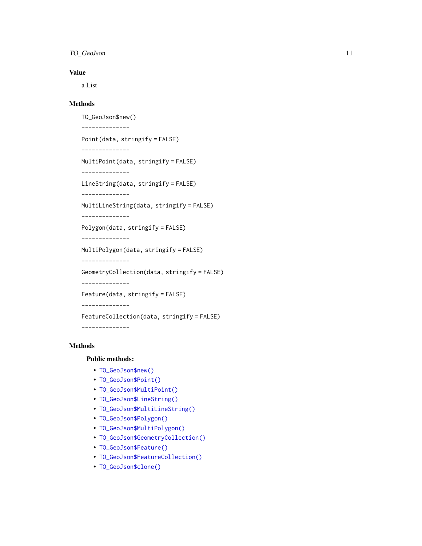# TO\_GeoJson 11

# Value

a List

# **Methods**

```
TO_GeoJson$new()
--------------
Point(data, stringify = FALSE)
--------------
MultiPoint(data, stringify = FALSE)
--------------
LineString(data, stringify = FALSE)
--------------
MultiLineString(data, stringify = FALSE)
--------------
Polygon(data, stringify = FALSE)
--------------
MultiPolygon(data, stringify = FALSE)
--------------
GeometryCollection(data, stringify = FALSE)
--------------
Feature(data, stringify = FALSE)
--------------
FeatureCollection(data, stringify = FALSE)
--------------
```
# Methods

Public methods:

- [TO\\_GeoJson\\$new\(\)](#page-10-0)
- [TO\\_GeoJson\\$Point\(\)](#page-11-0)
- [TO\\_GeoJson\\$MultiPoint\(\)](#page-11-1)
- [TO\\_GeoJson\\$LineString\(\)](#page-11-2)
- [TO\\_GeoJson\\$MultiLineString\(\)](#page-11-3)
- [TO\\_GeoJson\\$Polygon\(\)](#page-11-4)
- [TO\\_GeoJson\\$MultiPolygon\(\)](#page-11-5)
- [TO\\_GeoJson\\$GeometryCollection\(\)](#page-12-0)
- [TO\\_GeoJson\\$Feature\(\)](#page-12-1)
- [TO\\_GeoJson\\$FeatureCollection\(\)](#page-12-2)
- <span id="page-10-0"></span>• [TO\\_GeoJson\\$clone\(\)](#page-12-3)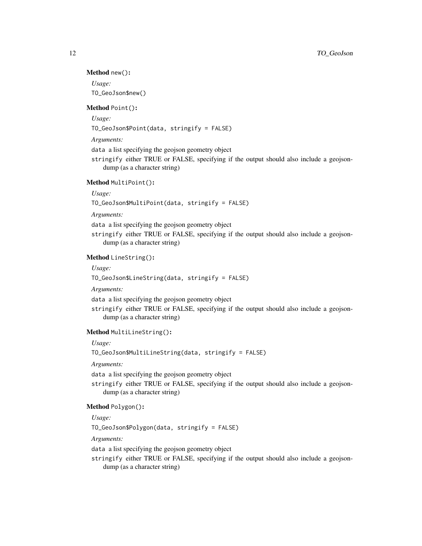#### Method new():

*Usage:* TO\_GeoJson\$new()

#### <span id="page-11-0"></span>Method Point():

*Usage:*

TO\_GeoJson\$Point(data, stringify = FALSE)

*Arguments:*

data a list specifying the geojson geometry object

stringify either TRUE or FALSE, specifying if the output should also include a geojsondump (as a character string)

# <span id="page-11-1"></span>Method MultiPoint():

*Usage:*

TO\_GeoJson\$MultiPoint(data, stringify = FALSE)

*Arguments:*

data a list specifying the geojson geometry object

stringify either TRUE or FALSE, specifying if the output should also include a geojsondump (as a character string)

# <span id="page-11-2"></span>Method LineString():

*Usage:*

TO\_GeoJson\$LineString(data, stringify = FALSE)

*Arguments:*

data a list specifying the geojson geometry object

stringify either TRUE or FALSE, specifying if the output should also include a geojsondump (as a character string)

### <span id="page-11-3"></span>Method MultiLineString():

*Usage:*

TO\_GeoJson\$MultiLineString(data, stringify = FALSE)

*Arguments:*

data a list specifying the geojson geometry object

stringify either TRUE or FALSE, specifying if the output should also include a geojsondump (as a character string)

# <span id="page-11-4"></span>Method Polygon():

*Usage:*

TO\_GeoJson\$Polygon(data, stringify = FALSE)

*Arguments:*

data a list specifying the geojson geometry object

<span id="page-11-5"></span>stringify either TRUE or FALSE, specifying if the output should also include a geojsondump (as a character string)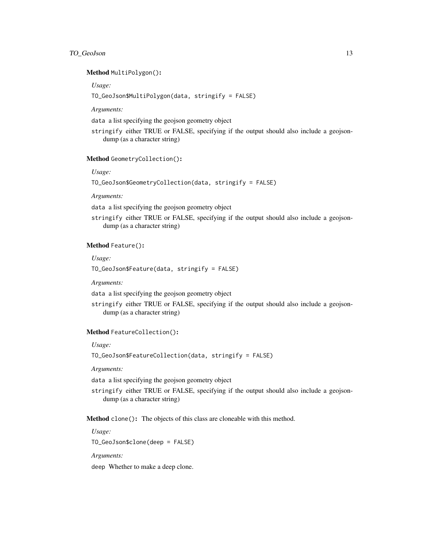# TO\_GeoJson 13

#### Method MultiPolygon():

*Usage:*

TO\_GeoJson\$MultiPolygon(data, stringify = FALSE)

*Arguments:*

data a list specifying the geojson geometry object

stringify either TRUE or FALSE, specifying if the output should also include a geojsondump (as a character string)

# <span id="page-12-0"></span>Method GeometryCollection():

*Usage:*

TO\_GeoJson\$GeometryCollection(data, stringify = FALSE)

*Arguments:*

data a list specifying the geojson geometry object

stringify either TRUE or FALSE, specifying if the output should also include a geojsondump (as a character string)

#### <span id="page-12-1"></span>Method Feature():

*Usage:*

TO\_GeoJson\$Feature(data, stringify = FALSE)

*Arguments:*

data a list specifying the geojson geometry object

stringify either TRUE or FALSE, specifying if the output should also include a geojsondump (as a character string)

#### <span id="page-12-2"></span>Method FeatureCollection():

*Usage:*

TO\_GeoJson\$FeatureCollection(data, stringify = FALSE)

*Arguments:*

data a list specifying the geojson geometry object

stringify either TRUE or FALSE, specifying if the output should also include a geojsondump (as a character string)

<span id="page-12-3"></span>Method clone(): The objects of this class are cloneable with this method.

*Usage:* TO\_GeoJson\$clone(deep = FALSE)

*Arguments:*

deep Whether to make a deep clone.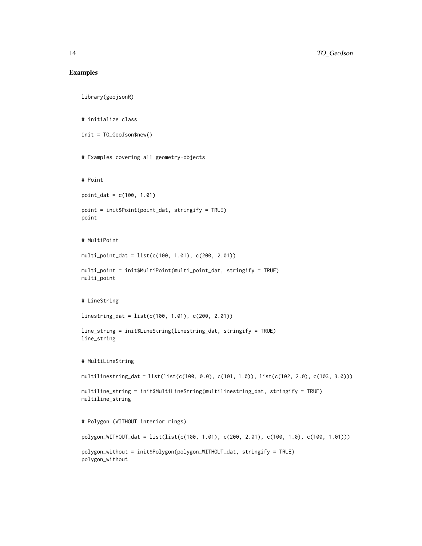#### Examples

```
library(geojsonR)
# initialize class
init = TO_GeoJson$new()
# Examples covering all geometry-objects
# Point
point_dat = c(100, 1.01)
point = init$Point(point_dat, stringify = TRUE)
point
# MultiPoint
multi_point_dat = list(c(100, 1.01), c(200, 2.01))
multi_point = init$MultiPoint(multi_point_dat, stringify = TRUE)
multi_point
# LineString
linestring_dat = list(c(100, 1.01), c(200, 2.01))
line_string = init$LineString(linestring_dat, stringify = TRUE)
line_string
# MultiLineString
multilinestring_dat = list(list(c(100, 0.0), c(101, 1.0)), list(c(102, 2.0), c(103, 3.0)))
multiline_string = init$MultiLineString(multilinestring_dat, stringify = TRUE)
multiline_string
# Polygon (WITHOUT interior rings)
polygon_WITHOUT_dat = list(list(c(100, 1.01), c(200, 2.01), c(100, 1.0), c(100, 1.01)))
polygon_without = init$Polygon(polygon_WITHOUT_dat, stringify = TRUE)
polygon_without
```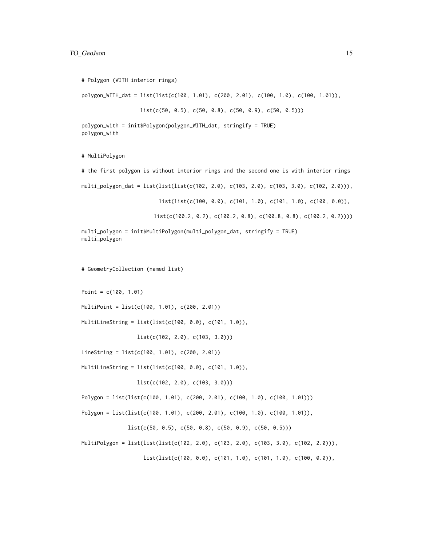# Polygon (WITH interior rings)

polygon\_WITH\_dat = list(list(c(100, 1.01), c(200, 2.01), c(100, 1.0), c(100, 1.01)),

```
list(c(50, 0.5), c(50, 0.8), c(50, 0.9), c(50, 0.5)))
```

```
polygon_with = init$Polygon(polygon_WITH_dat, stringify = TRUE)
polygon_with
```
# MultiPolygon

# the first polygon is without interior rings and the second one is with interior rings

multi\_polygon\_dat = list(list(list(c(102, 2.0), c(103, 2.0), c(103, 3.0), c(102, 2.0))),

list(list(c(100, 0.0), c(101, 1.0), c(101, 1.0), c(100, 0.0)),

list(c(100.2, 0.2), c(100.2, 0.8), c(100.8, 0.8), c(100.2, 0.2))))

```
multi_polygon = init$MultiPolygon(multi_polygon_dat, stringify = TRUE)
multi_polygon
```
# GeometryCollection (named list)

Point = c(100, 1.01)

MultiPoint = list(c(100, 1.01), c(200, 2.01))

MultiLineString = list(list(c(100, 0.0), c(101, 1.0)),

list(c(102, 2.0), c(103, 3.0)))

LineString = list(c(100, 1.01), c(200, 2.01))

MultiLineString = list(list(c(100, 0.0), c(101, 1.0)),

list(c(102, 2.0), c(103, 3.0)))

Polygon = list(list(c(100, 1.01), c(200, 2.01), c(100, 1.0), c(100, 1.01)))

```
Polygon = list(list(c(100, 1.01), c(200, 2.01), c(100, 1.0), c(100, 1.01)),
```
 $list(c(50, 0.5), c(50, 0.8), c(50, 0.9), c(50, 0.5)))$ 

MultiPolygon = list(list(list(c(102, 2.0), c(103, 2.0), c(103, 3.0), c(102, 2.0))),

list(list(c(100, 0.0), c(101, 1.0), c(101, 1.0), c(100, 0.0)),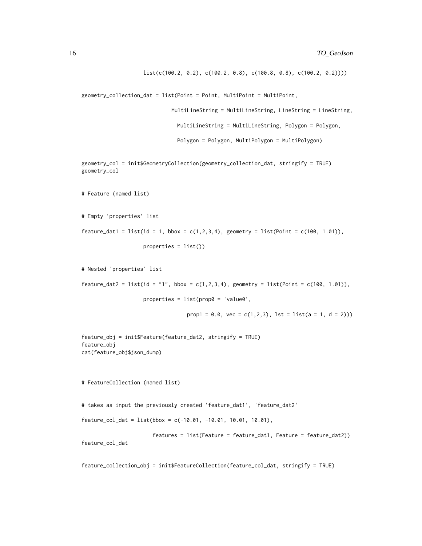```
list(c(100.2, 0.2), c(100.2, 0.8), c(100.8, 0.8), c(100.2, 0.2))))
```

```
geometry_collection_dat = list(Point = Point, MultiPoint = MultiPoint,
```

```
MultiLineString = MultiLineString, LineString = LineString,
```
MultiLineString = MultiLineString, Polygon = Polygon,

Polygon = Polygon, MultiPolygon = MultiPolygon)

geometry\_col = init\$GeometryCollection(geometry\_collection\_dat, stringify = TRUE) geometry\_col

```
# Feature (named list)
```
# Empty 'properties' list

feature\_dat1 = list(id = 1, bbox =  $c(1,2,3,4)$ , geometry = list(Point =  $c(100, 1.01)$ ),

properties = list())

# Nested 'properties' list

feature\_dat2 = list(id = "1", bbox = c(1,2,3,4), geometry = list(Point = c(100, 1.01)),

properties =  $list(prop0 = 'value0',$ 

prop1 =  $0.0$ , vec =  $c(1,2,3)$ , lst = list(a = 1, d = 2)))

```
feature_obj = init$Feature(feature_dat2, stringify = TRUE)
feature_obj
cat(feature_obj$json_dump)
```
# FeatureCollection (named list)

# takes as input the previously created 'feature\_dat1', 'feature\_dat2'

 $feature\_col\_dat = list(bbox = c(-10.01, -10.01, 10.01, 10.01),$ 

```
features = list(Feature = feature_dat1, Feature = feature_dat2))
feature_col_dat
```

```
feature_collection_obj = init$FeatureCollection(feature_col_dat, stringify = TRUE)
```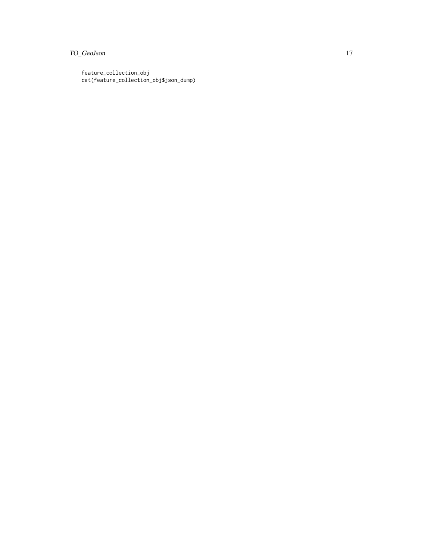# TO\_GeoJson 17

feature\_collection\_obj cat(feature\_collection\_obj\$json\_dump)